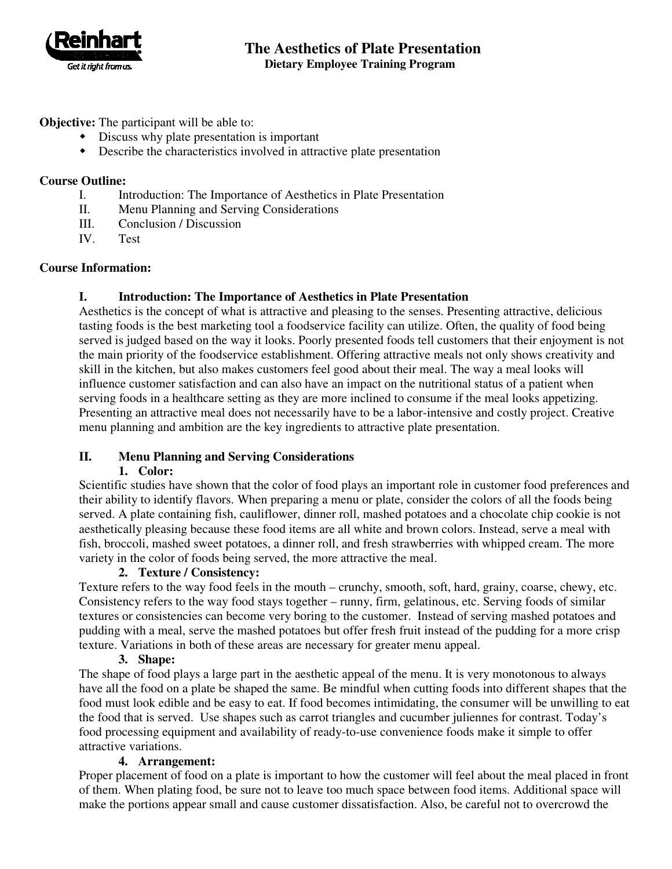

# **The Aesthetics of Plate Presentation Dietary Employee Training Program**

## **Objective:** The participant will be able to:

- Discuss why plate presentation is important
- Describe the characteristics involved in attractive plate presentation

#### **Course Outline:**

- I. Introduction: The Importance of Aesthetics in Plate Presentation
- II. Menu Planning and Serving Considerations
- III. Conclusion / Discussion
- IV. Test

## **Course Information:**

## **I. Introduction: The Importance of Aesthetics in Plate Presentation**

Aesthetics is the concept of what is attractive and pleasing to the senses. Presenting attractive, delicious tasting foods is the best marketing tool a foodservice facility can utilize. Often, the quality of food being served is judged based on the way it looks. Poorly presented foods tell customers that their enjoyment is not the main priority of the foodservice establishment. Offering attractive meals not only shows creativity and skill in the kitchen, but also makes customers feel good about their meal. The way a meal looks will influence customer satisfaction and can also have an impact on the nutritional status of a patient when serving foods in a healthcare setting as they are more inclined to consume if the meal looks appetizing. Presenting an attractive meal does not necessarily have to be a labor-intensive and costly project. Creative menu planning and ambition are the key ingredients to attractive plate presentation.

# **II. Menu Planning and Serving Considerations**

## **1. Color:**

Scientific studies have shown that the color of food plays an important role in customer food preferences and their ability to identify flavors. When preparing a menu or plate, consider the colors of all the foods being served. A plate containing fish, cauliflower, dinner roll, mashed potatoes and a chocolate chip cookie is not aesthetically pleasing because these food items are all white and brown colors. Instead, serve a meal with fish, broccoli, mashed sweet potatoes, a dinner roll, and fresh strawberries with whipped cream. The more variety in the color of foods being served, the more attractive the meal.

## **2. Texture / Consistency:**

Texture refers to the way food feels in the mouth – crunchy, smooth, soft, hard, grainy, coarse, chewy, etc. Consistency refers to the way food stays together – runny, firm, gelatinous, etc. Serving foods of similar textures or consistencies can become very boring to the customer. Instead of serving mashed potatoes and pudding with a meal, serve the mashed potatoes but offer fresh fruit instead of the pudding for a more crisp texture. Variations in both of these areas are necessary for greater menu appeal.

#### **3. Shape:**

The shape of food plays a large part in the aesthetic appeal of the menu. It is very monotonous to always have all the food on a plate be shaped the same. Be mindful when cutting foods into different shapes that the food must look edible and be easy to eat. If food becomes intimidating, the consumer will be unwilling to eat the food that is served. Use shapes such as carrot triangles and cucumber juliennes for contrast. Today's food processing equipment and availability of ready-to-use convenience foods make it simple to offer attractive variations.

#### **4. Arrangement:**

Proper placement of food on a plate is important to how the customer will feel about the meal placed in front of them. When plating food, be sure not to leave too much space between food items. Additional space will make the portions appear small and cause customer dissatisfaction. Also, be careful not to overcrowd the